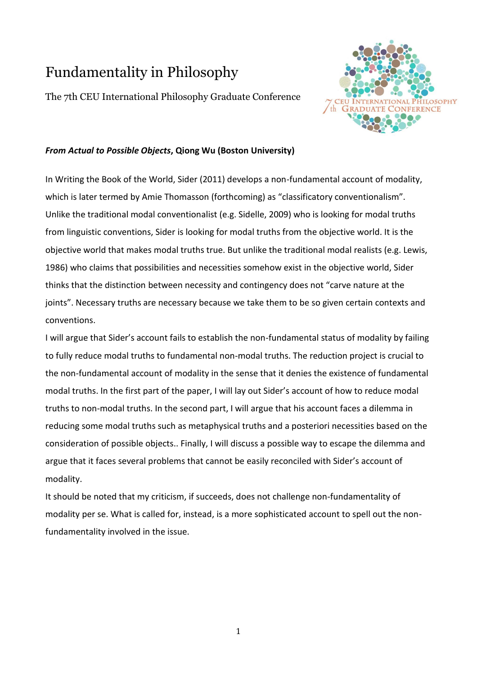# Fundamentality in Philosophy

The 7th CEU International Philosophy Graduate Conference



## *From Actual to Possible Objects***, Qiong Wu (Boston University)**

In Writing the Book of the World, Sider (2011) develops a non-fundamental account of modality, which is later termed by Amie Thomasson (forthcoming) as "classificatory conventionalism". Unlike the traditional modal conventionalist (e.g. Sidelle, 2009) who is looking for modal truths from linguistic conventions, Sider is looking for modal truths from the objective world. It is the objective world that makes modal truths true. But unlike the traditional modal realists (e.g. Lewis, 1986) who claims that possibilities and necessities somehow exist in the objective world, Sider thinks that the distinction between necessity and contingency does not "carve nature at the joints". Necessary truths are necessary because we take them to be so given certain contexts and conventions.

I will argue that Sider's account fails to establish the non-fundamental status of modality by failing to fully reduce modal truths to fundamental non-modal truths. The reduction project is crucial to the non-fundamental account of modality in the sense that it denies the existence of fundamental modal truths. In the first part of the paper, I will lay out Sider's account of how to reduce modal truths to non-modal truths. In the second part, I will argue that his account faces a dilemma in reducing some modal truths such as metaphysical truths and a posteriori necessities based on the consideration of possible objects.. Finally, I will discuss a possible way to escape the dilemma and argue that it faces several problems that cannot be easily reconciled with Sider's account of modality.

It should be noted that my criticism, if succeeds, does not challenge non-fundamentality of modality per se. What is called for, instead, is a more sophisticated account to spell out the nonfundamentality involved in the issue.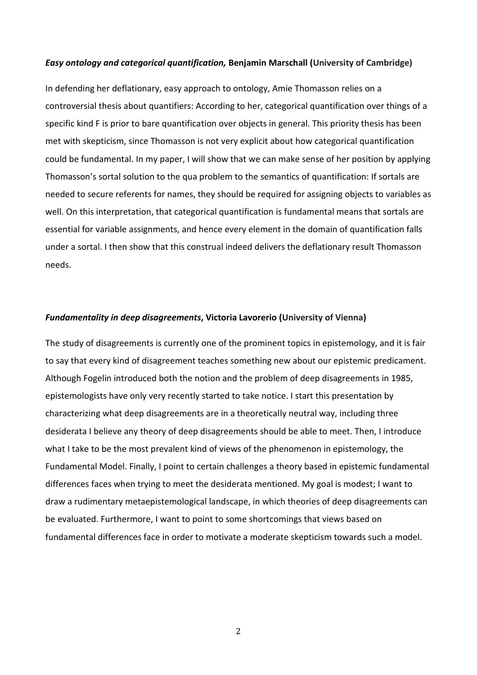#### *Easy ontology and categorical quantification,* **Benjamin Marschall (University of Cambridge)**

In defending her deflationary, easy approach to ontology, Amie Thomasson relies on a controversial thesis about quantifiers: According to her, categorical quantification over things of a specific kind F is prior to bare quantification over objects in general. This priority thesis has been met with skepticism, since Thomasson is not very explicit about how categorical quantification could be fundamental. In my paper, I will show that we can make sense of her position by applying Thomasson's sortal solution to the qua problem to the semantics of quantification: If sortals are needed to secure referents for names, they should be required for assigning objects to variables as well. On this interpretation, that categorical quantification is fundamental means that sortals are essential for variable assignments, and hence every element in the domain of quantification falls under a sortal. I then show that this construal indeed delivers the deflationary result Thomasson needs.

#### *Fundamentality in deep disagreements***, Victoria Lavorerio (University of Vienna)**

The study of disagreements is currently one of the prominent topics in epistemology, and it is fair to say that every kind of disagreement teaches something new about our epistemic predicament. Although Fogelin introduced both the notion and the problem of deep disagreements in 1985, epistemologists have only very recently started to take notice. I start this presentation by characterizing what deep disagreements are in a theoretically neutral way, including three desiderata I believe any theory of deep disagreements should be able to meet. Then, I introduce what I take to be the most prevalent kind of views of the phenomenon in epistemology, the Fundamental Model. Finally, I point to certain challenges a theory based in epistemic fundamental differences faces when trying to meet the desiderata mentioned. My goal is modest; I want to draw a rudimentary metaepistemological landscape, in which theories of deep disagreements can be evaluated. Furthermore, I want to point to some shortcomings that views based on fundamental differences face in order to motivate a moderate skepticism towards such a model.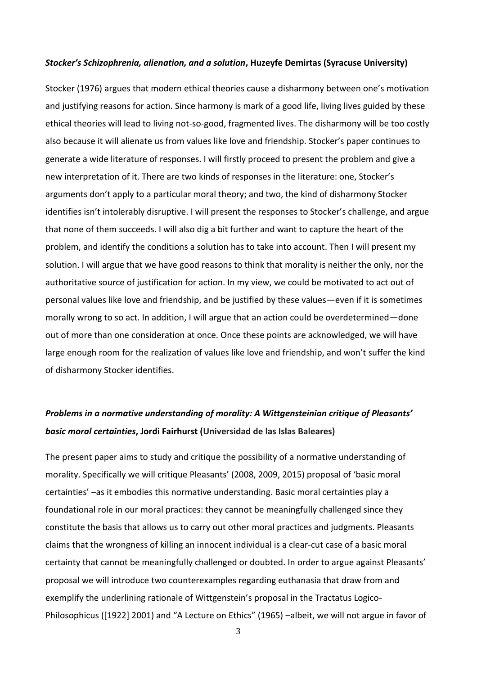#### *Stocker's Schizophrenia, alienation, and a solution***, Huzeyfe Demirtas (Syracuse University)**

Stocker (1976) argues that modern ethical theories cause a disharmony between one's motivation and justifying reasons for action. Since harmony is mark of a good life, living lives guided by these ethical theories will lead to living not-so-good, fragmented lives. The disharmony will be too costly also because it will alienate us from values like love and friendship. Stocker's paper continues to generate a wide literature of responses. I will firstly proceed to present the problem and give a new interpretation of it. There are two kinds of responses in the literature: one, Stocker's arguments don't apply to a particular moral theory; and two, the kind of disharmony Stocker identifies isn't intolerably disruptive. I will present the responses to Stocker's challenge, and argue that none of them succeeds. I will also dig a bit further and want to capture the heart of the problem, and identify the conditions a solution has to take into account. Then I will present my solution. I will argue that we have good reasons to think that morality is neither the only, nor the authoritative source of justification for action. In my view, we could be motivated to act out of personal values like love and friendship, and be justified by these values—even if it is sometimes morally wrong to so act. In addition, I will argue that an action could be overdetermined—done out of more than one consideration at once. Once these points are acknowledged, we will have large enough room for the realization of values like love and friendship, and won't suffer the kind of disharmony Stocker identifies.

# *Problems in a normative understanding of morality: A Wittgensteinian critique of Pleasants' basic moral certainties***, Jordi Fairhurst (Universidad de las Islas Baleares)**

The present paper aims to study and critique the possibility of a normative understanding of morality. Specifically we will critique Pleasants' (2008, 2009, 2015) proposal of 'basic moral certainties' –as it embodies this normative understanding. Basic moral certainties play a foundational role in our moral practices: they cannot be meaningfully challenged since they constitute the basis that allows us to carry out other moral practices and judgments. Pleasants claims that the wrongness of killing an innocent individual is a clear-cut case of a basic moral certainty that cannot be meaningfully challenged or doubted. In order to argue against Pleasants' proposal we will introduce two counterexamples regarding euthanasia that draw from and exemplify the underlining rationale of Wittgenstein's proposal in the Tractatus Logico-Philosophicus ([1922] 2001) and "A Lecture on Ethics" (1965) –albeit, we will not argue in favor of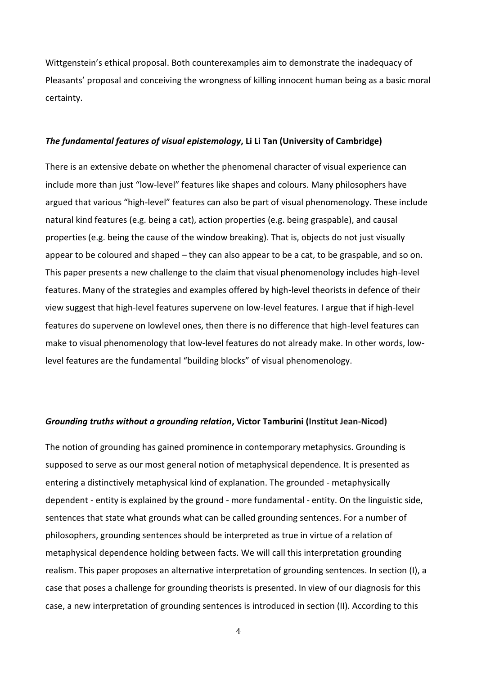Wittgenstein's ethical proposal. Both counterexamples aim to demonstrate the inadequacy of Pleasants' proposal and conceiving the wrongness of killing innocent human being as a basic moral certainty.

#### *The fundamental features of visual epistemology***, Li Li Tan (University of Cambridge)**

There is an extensive debate on whether the phenomenal character of visual experience can include more than just "low-level" features like shapes and colours. Many philosophers have argued that various "high-level" features can also be part of visual phenomenology. These include natural kind features (e.g. being a cat), action properties (e.g. being graspable), and causal properties (e.g. being the cause of the window breaking). That is, objects do not just visually appear to be coloured and shaped – they can also appear to be a cat, to be graspable, and so on. This paper presents a new challenge to the claim that visual phenomenology includes high-level features. Many of the strategies and examples offered by high-level theorists in defence of their view suggest that high-level features supervene on low-level features. I argue that if high-level features do supervene on lowlevel ones, then there is no difference that high-level features can make to visual phenomenology that low-level features do not already make. In other words, lowlevel features are the fundamental "building blocks" of visual phenomenology.

#### *Grounding truths without a grounding relation***, Victor Tamburini (Institut Jean-Nicod)**

The notion of grounding has gained prominence in contemporary metaphysics. Grounding is supposed to serve as our most general notion of metaphysical dependence. It is presented as entering a distinctively metaphysical kind of explanation. The grounded - metaphysically dependent - entity is explained by the ground - more fundamental - entity. On the linguistic side, sentences that state what grounds what can be called grounding sentences. For a number of philosophers, grounding sentences should be interpreted as true in virtue of a relation of metaphysical dependence holding between facts. We will call this interpretation grounding realism. This paper proposes an alternative interpretation of grounding sentences. In section (I), a case that poses a challenge for grounding theorists is presented. In view of our diagnosis for this case, a new interpretation of grounding sentences is introduced in section (II). According to this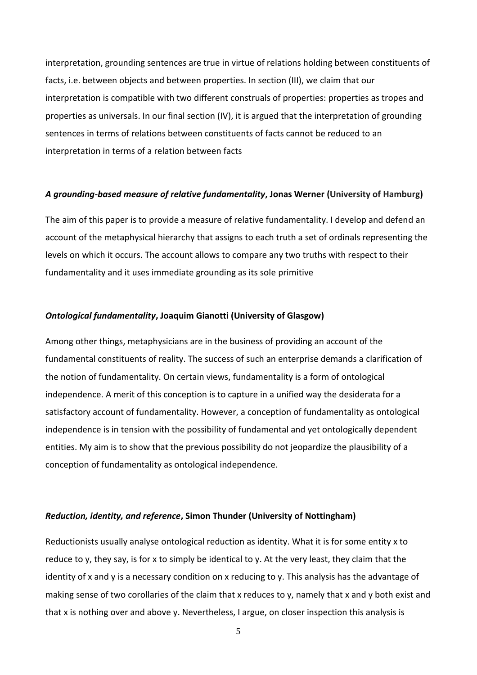interpretation, grounding sentences are true in virtue of relations holding between constituents of facts, i.e. between objects and between properties. In section (III), we claim that our interpretation is compatible with two different construals of properties: properties as tropes and properties as universals. In our final section (IV), it is argued that the interpretation of grounding sentences in terms of relations between constituents of facts cannot be reduced to an interpretation in terms of a relation between facts

#### *A grounding-based measure of relative fundamentality***, Jonas Werner (University of Hamburg)**

The aim of this paper is to provide a measure of relative fundamentality. I develop and defend an account of the metaphysical hierarchy that assigns to each truth a set of ordinals representing the levels on which it occurs. The account allows to compare any two truths with respect to their fundamentality and it uses immediate grounding as its sole primitive

#### *Ontological fundamentality***, Joaquim Gianotti (University of Glasgow)**

Among other things, metaphysicians are in the business of providing an account of the fundamental constituents of reality. The success of such an enterprise demands a clarification of the notion of fundamentality. On certain views, fundamentality is a form of ontological independence. A merit of this conception is to capture in a unified way the desiderata for a satisfactory account of fundamentality. However, a conception of fundamentality as ontological independence is in tension with the possibility of fundamental and yet ontologically dependent entities. My aim is to show that the previous possibility do not jeopardize the plausibility of a conception of fundamentality as ontological independence.

#### *Reduction, identity, and reference***, Simon Thunder (University of Nottingham)**

Reductionists usually analyse ontological reduction as identity. What it is for some entity x to reduce to y, they say, is for x to simply be identical to y. At the very least, they claim that the identity of x and y is a necessary condition on x reducing to y. This analysis has the advantage of making sense of two corollaries of the claim that x reduces to y, namely that x and y both exist and that x is nothing over and above y. Nevertheless, I argue, on closer inspection this analysis is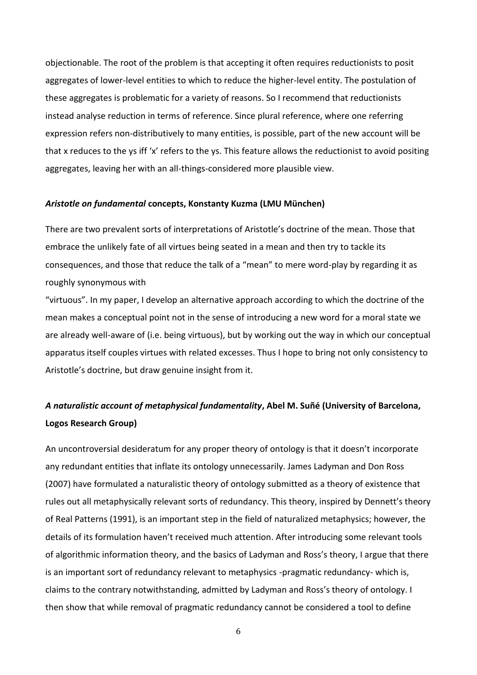objectionable. The root of the problem is that accepting it often requires reductionists to posit aggregates of lower-level entities to which to reduce the higher-level entity. The postulation of these aggregates is problematic for a variety of reasons. So I recommend that reductionists instead analyse reduction in terms of reference. Since plural reference, where one referring expression refers non-distributively to many entities, is possible, part of the new account will be that x reduces to the ys iff 'x' refers to the ys. This feature allows the reductionist to avoid positing aggregates, leaving her with an all-things-considered more plausible view.

#### *Aristotle on fundamental* **concepts, Konstanty Kuzma (LMU München)**

There are two prevalent sorts of interpretations of Aristotle's doctrine of the mean. Those that embrace the unlikely fate of all virtues being seated in a mean and then try to tackle its consequences, and those that reduce the talk of a "mean" to mere word-play by regarding it as roughly synonymous with

"virtuous". In my paper, I develop an alternative approach according to which the doctrine of the mean makes a conceptual point not in the sense of introducing a new word for a moral state we are already well-aware of (i.e. being virtuous), but by working out the way in which our conceptual apparatus itself couples virtues with related excesses. Thus I hope to bring not only consistency to Aristotle's doctrine, but draw genuine insight from it.

## *A naturalistic account of metaphysical fundamentality***, Abel M. Suñé (University of Barcelona, Logos Research Group)**

An uncontroversial desideratum for any proper theory of ontology is that it doesn't incorporate any redundant entities that inflate its ontology unnecessarily. James Ladyman and Don Ross (2007) have formulated a naturalistic theory of ontology submitted as a theory of existence that rules out all metaphysically relevant sorts of redundancy. This theory, inspired by Dennett's theory of Real Patterns (1991), is an important step in the field of naturalized metaphysics; however, the details of its formulation haven't received much attention. After introducing some relevant tools of algorithmic information theory, and the basics of Ladyman and Ross's theory, I argue that there is an important sort of redundancy relevant to metaphysics -pragmatic redundancy- which is, claims to the contrary notwithstanding, admitted by Ladyman and Ross's theory of ontology. I then show that while removal of pragmatic redundancy cannot be considered a tool to define